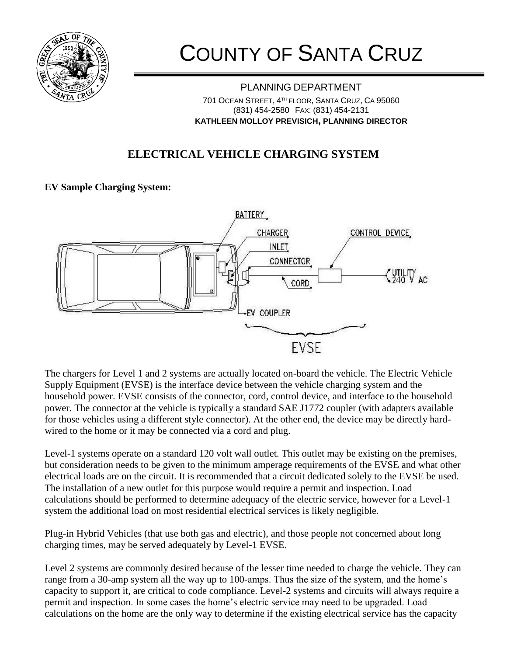

# COUNTY OF SANTA CRUZ

PLANNING DEPARTMENT 701 OCEAN STREET, 4 TH FLOOR, SANTA CRUZ, CA 95060 (831) 454-2580 FAX: (831) 454-2131 **KATHLEEN MOLLOY PREVISICH, PLANNING DIRECTOR**

### **ELECTRICAL VEHICLE CHARGING SYSTEM**

#### **EV Sample Charging System:**



The chargers for Level 1 and 2 systems are actually located on-board the vehicle. The Electric Vehicle Supply Equipment (EVSE) is the interface device between the vehicle charging system and the household power. EVSE consists of the connector, cord, control device, and interface to the household power. The connector at the vehicle is typically a standard SAE J1772 coupler (with adapters available for those vehicles using a different style connector). At the other end, the device may be directly hardwired to the home or it may be connected via a cord and plug.

Level-1 systems operate on a standard 120 volt wall outlet. This outlet may be existing on the premises, but consideration needs to be given to the minimum amperage requirements of the EVSE and what other electrical loads are on the circuit. It is recommended that a circuit dedicated solely to the EVSE be used. The installation of a new outlet for this purpose would require a permit and inspection. Load calculations should be performed to determine adequacy of the electric service, however for a Level-1 system the additional load on most residential electrical services is likely negligible.

Plug-in Hybrid Vehicles (that use both gas and electric), and those people not concerned about long charging times, may be served adequately by Level-1 EVSE.

Level 2 systems are commonly desired because of the lesser time needed to charge the vehicle. They can range from a 30-amp system all the way up to 100-amps. Thus the size of the system, and the home's capacity to support it, are critical to code compliance. Level-2 systems and circuits will always require a permit and inspection. In some cases the home's electric service may need to be upgraded. Load calculations on the home are the only way to determine if the existing electrical service has the capacity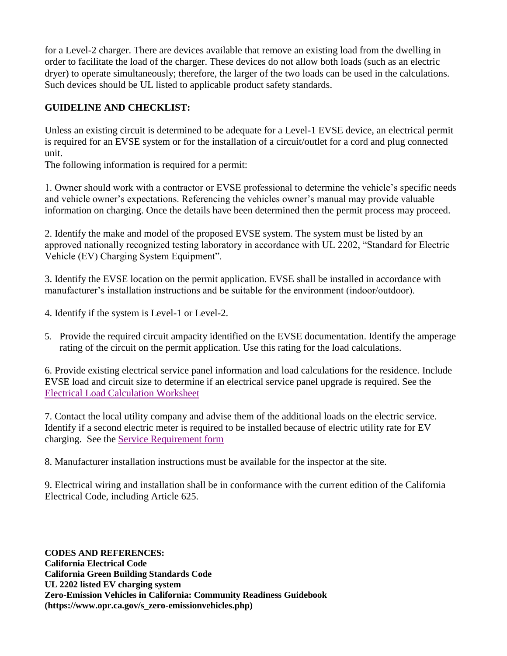for a Level-2 charger. There are devices available that remove an existing load from the dwelling in order to facilitate the load of the charger. These devices do not allow both loads (such as an electric dryer) to operate simultaneously; therefore, the larger of the two loads can be used in the calculations. Such devices should be UL listed to applicable product safety standards.

#### **GUIDELINE AND CHECKLIST:**

Unless an existing circuit is determined to be adequate for a Level-1 EVSE device, an electrical permit is required for an EVSE system or for the installation of a circuit/outlet for a cord and plug connected unit.

The following information is required for a permit:

1. Owner should work with a contractor or EVSE professional to determine the vehicle's specific needs and vehicle owner's expectations. Referencing the vehicles owner's manual may provide valuable information on charging. Once the details have been determined then the permit process may proceed.

2. Identify the make and model of the proposed EVSE system. The system must be listed by an approved nationally recognized testing laboratory in accordance with UL 2202, "Standard for Electric Vehicle (EV) Charging System Equipment".

3. Identify the EVSE location on the permit application. EVSE shall be installed in accordance with manufacturer's installation instructions and be suitable for the environment (indoor/outdoor).

- 4. Identify if the system is Level-1 or Level-2.
- 5. Provide the required circuit ampacity identified on the EVSE documentation. Identify the amperage rating of the circuit on the permit application. Use this rating for the load calculations.

6. Provide existing electrical service panel information and load calculations for the residence. Include EVSE load and circuit size to determine if an electrical service panel upgrade is required. See the [Electrical Load Calculation Worksheet](file://///Scznas04/pln/Shared/Website/Building%20&%20Safety/Alternative%20Energy/Standard%20Method%20for%20Dwelling%20Service%20Calculations.docx)

7. Contact the local utility company and advise them of the additional loads on the electric service. Identify if a second electric meter is required to be installed because of electric utility rate for EV charging. See the [Service Requirement form](file://///Scznas04/pln/Shared/Website/Building%20&%20Safety/Alternative%20Energy/EV%20Charging%20System%20Service%20Requirement.docx)

8. Manufacturer installation instructions must be available for the inspector at the site.

9. Electrical wiring and installation shall be in conformance with the current edition of the California Electrical Code, including Article 625.

**CODES AND REFERENCES: California Electrical Code California Green Building Standards Code UL 2202 listed EV charging system Zero-Emission Vehicles in California: Community Readiness Guidebook (https://www.opr.ca.gov/s\_zero-emissionvehicles.php)**